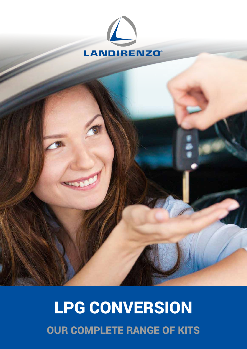

# LPG CONVERSION OUR COMPLETE RANGE OF KITS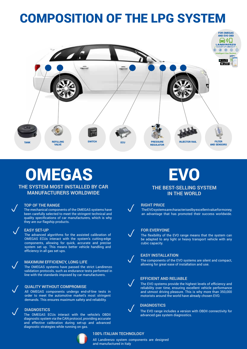## COMPOSITION OF THE LPG SYSTEM



# **OMEGAS**

**THE SYSTEM MOST INSTALLED BY CAR MANUFACTURERS WORLDWIDE**

#### **TOP OF THE RANGE**

The mechanical components of the OMEGAS systems have been carefully selected to meet the stringent technical and quality specifications of car manufacturers, which is why they are our flagship products.



 $\sqrt{2}$ 

 $\sqrt{2}$ 

#### p **EASY SET-UP**

The advanced algorithms for the assisted calibration of OMEGAS ECUs interact with the system's cutting-edge components, allowing for quick, accurate and precise system set up. This means better vehicle handling and efficiency in all gas set ups.



line with the standards imposed by car manufacturers.

### **QUALITY WITHOUT COMPROMISE**

All OMEGAS components undergo end-of-line tests in order to meet the automotive market's most stringent demands. This ensures maximum safety and reliability.

**Solution CONEGAS ECUS** interact with the vehicle's OBDII diagnostic system via the CAN protocol, providing accurate and effective calibration during set-up and advanced diagnostic strategies while running on gas.



### **100% ITALIAN TECHNOLOGY**

All Landirenzo system components are designed and manufactured in Italy

 $\sqrt{2}$ 

### EVO **THE BEST-SELLING SYSTEM**

### **IN THE WORLD**



### **RIGHT PRICE**

The EVO systems are characterised by excellent value for money, an advantage that has promoted their success worldwide.



cubic capacity.

The flexibility of the EVO range means that the system can be adapted to any light or heavy transport vehicle with any



### **EASY INSTALLATION**

The components of the EVO systems are silent and compact, allowing for great ease of installation and use.



### **EFFICIENT AND RELIABLE**

The EVO systems provide the highest levels of efficiency and reliability over time, ensuring excellent vehicle performance and utmost driving pleasure. This is why more than 350,000 motorists around the world have already chosen EVO.

### **DIAGNOSTICS**

The EVO range includes a version with OBDII connectivity for advanced gas system diagnostics.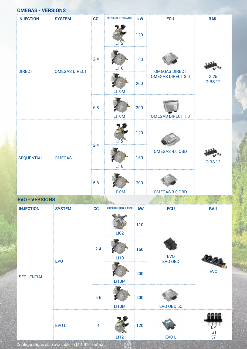| <b>OMEGAS - VERSIONS</b> |                      |         |                           |     |                                                  |                               |  |  |  |  |
|--------------------------|----------------------|---------|---------------------------|-----|--------------------------------------------------|-------------------------------|--|--|--|--|
| <b>INJECTION</b>         | <b>SYSTEM</b>        | cc      | <b>PRESSURE REGULATOR</b> | kW  | <b>ECU</b>                                       | <b>RAIL</b>                   |  |  |  |  |
| <b>DIRECT</b>            | <b>OMEGAS DIRECT</b> | $2 - 4$ | <b>LI12</b>               | 120 |                                                  | <b>GI25</b><br><b>GIRS 12</b> |  |  |  |  |
|                          |                      |         | LI10                      | 160 | <b>OMEGAS DIRECT</b><br><b>OMEGAS DIRECT 3.0</b> |                               |  |  |  |  |
|                          |                      |         | LI10M                     | 200 |                                                  |                               |  |  |  |  |
|                          |                      | $6 - 8$ | LI10M                     | 200 | <b>OMEGAS DIRECT 1.0</b>                         |                               |  |  |  |  |
| <b>SEQUENTIAL</b>        | <b>OMEGAS</b>        | $2 - 4$ | L112                      | 120 | OMEGAS 4.0 OBD                                   | <b>GIRS 12</b>                |  |  |  |  |
|                          |                      |         | LI10                      | 160 |                                                  |                               |  |  |  |  |
|                          |                      | $5-8$   | LI10M                     | 200 | OMEGAS 3.0 OBD                                   |                               |  |  |  |  |

### **EVO - VERSIONS**

| <b>INJECTION</b>  | <b>SYSTEM</b> | cc             | PRESSURE REGULATOR | kW  | <b>ECU</b>            | <b>RAIL</b>     |
|-------------------|---------------|----------------|--------------------|-----|-----------------------|-----------------|
| <b>SEQUENTIAL</b> | <b>EVO</b>    |                | LI <sub>02</sub>   | 110 | <b>EVO</b><br>EVO OBD | <b>EVO</b>      |
|                   |               | $2 - 4$        | <b>LI10</b>        | 160 |                       |                 |
|                   |               |                | LI10M              | 200 |                       |                 |
|                   |               | $5-6$          | LI10M              | 200 | EVO OBD 6C            |                 |
|                   | EVO L         | $\overline{4}$ | LI12               | 120 | EVO L                 | EP<br>IG1<br>37 |

Configurations also available in MINIKIT format